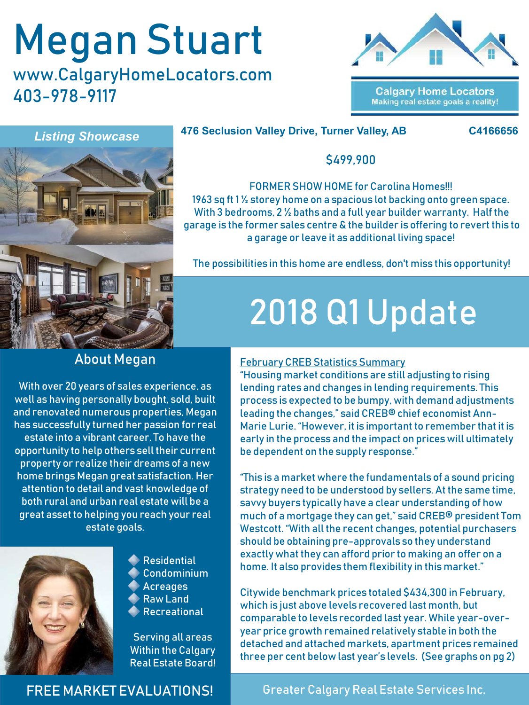# Megan Stuart

www.CalgaryHomeLocators.com 403-978-9117



**Calgary Home Locators** Making real estate goals a reality!



#### **476 Seclusion Valley Drive, Turner Valley, AB C4166656**



\$499,900

FORMER SHOW HOME for Carolina Homes!!! 1963 sq ft 1 ½ storey home on a spacious lot backing onto green space. With 3 bedrooms, 2 ½ baths and a full year builder warranty. Half the garage is the former sales centre & the builder is offering to revert this to a garage or leave it as additional living space!

The possibilities in this home are endless, don't miss this opportunity!

## 2018 Q1 Update

### About Megan

With over 20 years of sales experience, as well as having personally bought, sold, built and renovated numerous properties, Megan has successfully turned her passion for real estate into a vibrant career. To have the opportunity to help others sell their current property or realize their dreams of a new home brings Megan great satisfaction. Her attention to detail and vast knowledge of both rural and urban real estate will be a great asset to helping you reach your real estate goals.



**Residential** Condominium

- Acreages Raw Land
- Recreational

Serving all areas Within the Calgary Real Estate Board!

### February CREB Statistics Summary

"Housing market conditions are still adjusting to rising lending rates and changes in lending requirements. This process is expected to be bumpy, with demand adjustments leading the changes," said CREB® chief economist Ann-Marie Lurie. "However, it is important to remember that it is early in the process and the impact on prices will ultimately be dependent on the supply response."

"This is a market where the fundamentals of a sound pricing strategy need to be understood by sellers. At the same time, savvy buyers typically have a clear understanding of how much of a mortgage they can get," said CREB® president Tom Westcott. "With all the recent changes, potential purchasers should be obtaining pre-approvals so they understand exactly what they can afford prior to making an offer on a home. It also provides them flexibility in this market."

Citywide benchmark prices totaled \$434,300 in February, which is just above levels recovered last month, but comparable to levels recorded last year. While year-overyear price growth remained relatively stable in both the detached and attached markets, apartment prices remained three per cent below last year's levels. (See graphs on pg 2)

FREE MARKET EVALUATIONS!

Greater Calgary Real Estate Services Inc.